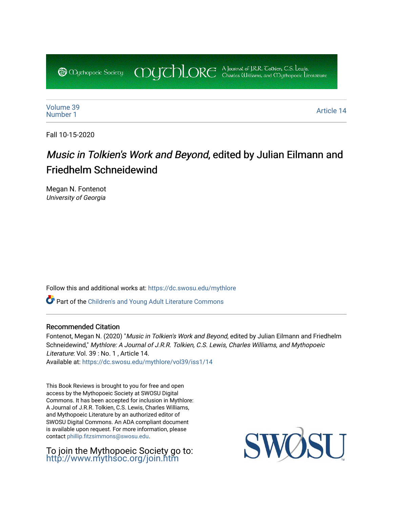COUCHORE A Journal of J.R.R. Colkien, C.S. Lewis, **@** *Oychopoeic* Sociecy

[Volume 39](https://dc.swosu.edu/mythlore/vol39) [Number 1](https://dc.swosu.edu/mythlore/vol39/iss1) Article 14<br>Number 1 Article 14

Fall 10-15-2020

## Music in Tolkien's Work and Beyond, edited by Julian Eilmann and Friedhelm Schneidewind

Megan N. Fontenot University of Georgia

Follow this and additional works at: [https://dc.swosu.edu/mythlore](https://dc.swosu.edu/mythlore?utm_source=dc.swosu.edu%2Fmythlore%2Fvol39%2Fiss1%2F14&utm_medium=PDF&utm_campaign=PDFCoverPages) 

Part of the [Children's and Young Adult Literature Commons](http://network.bepress.com/hgg/discipline/1289?utm_source=dc.swosu.edu%2Fmythlore%2Fvol39%2Fiss1%2F14&utm_medium=PDF&utm_campaign=PDFCoverPages) 

## Recommended Citation

Fontenot, Megan N. (2020) "Music in Tolkien's Work and Beyond, edited by Julian Eilmann and Friedhelm Schneidewind," Mythlore: A Journal of J.R.R. Tolkien, C.S. Lewis, Charles Williams, and Mythopoeic Literature: Vol. 39 : No. 1 , Article 14. Available at: [https://dc.swosu.edu/mythlore/vol39/iss1/14](https://dc.swosu.edu/mythlore/vol39/iss1/14?utm_source=dc.swosu.edu%2Fmythlore%2Fvol39%2Fiss1%2F14&utm_medium=PDF&utm_campaign=PDFCoverPages)

This Book Reviews is brought to you for free and open access by the Mythopoeic Society at SWOSU Digital Commons. It has been accepted for inclusion in Mythlore: A Journal of J.R.R. Tolkien, C.S. Lewis, Charles Williams, and Mythopoeic Literature by an authorized editor of SWOSU Digital Commons. An ADA compliant document is available upon request. For more information, please contact [phillip.fitzsimmons@swosu.edu.](mailto:phillip.fitzsimmons@swosu.edu)

To join the Mythopoeic Society go to: <http://www.mythsoc.org/join.htm>

SWQ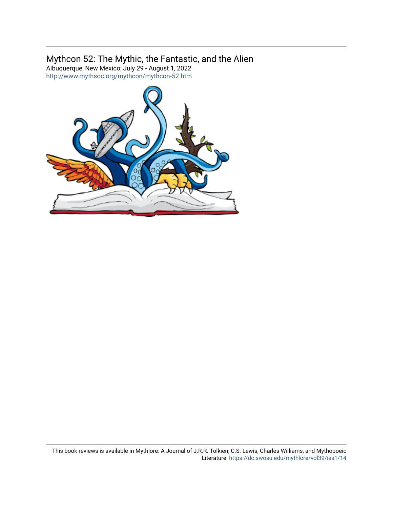## Mythcon 52: The Mythic, the Fantastic, and the Alien

Albuquerque, New Mexico; July 29 - August 1, 2022 <http://www.mythsoc.org/mythcon/mythcon-52.htm>

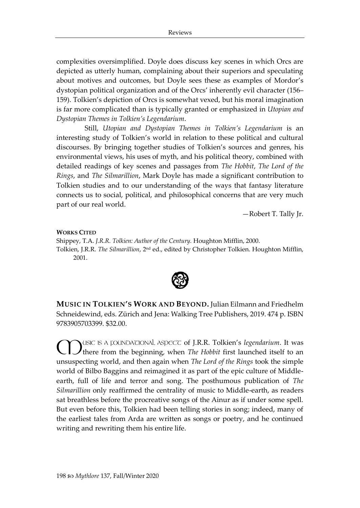complexities oversimplified. Doyle does discuss key scenes in which Orcs are depicted as utterly human, complaining about their superiors and speculating about motives and outcomes, but Doyle sees these as examples of Mordor's dystopian political organization and of the Orcs' inherently evil character (156– 159). Tolkien's depiction of Orcs is somewhat vexed, but his moral imagination is far more complicated than is typically granted or emphasized in *Utopian and Dystopian Themes in Tolkien's Legendarium*.

Still, *Utopian and Dystopian Themes in Tolkien's Legendarium* is an interesting study of Tolkien's world in relation to these political and cultural discourses. By bringing together studies of Tolkien's sources and genres, his environmental views, his uses of myth, and his political theory, combined with detailed readings of key scenes and passages from *The Hobbit*, *The Lord of the Rings*, and *The Silmarillion*, Mark Doyle has made a significant contribution to Tolkien studies and to our understanding of the ways that fantasy literature connects us to social, political, and philosophical concerns that are very much part of our real world.

—Robert T. Tally Jr.

## **WORKS CITED**

Shippey, T.A. *J.R.R. Tolkien: Author of the Century.* Houghton Mifflin, 2000. Tolkien, J.R.R. *The Silmarillion*, 2nd ed., edited by Christopher Tolkien. Houghton Mifflin, 2001.



**MUSIC IN TOLKIEN'S WORK AND BEYOND.** Julian Eilmann and Friedhelm Schneidewind, eds. Zürich and Jena: Walking Tree Publishers, 2019. 474 p. ISBN 9783905703399. \$32.00.

USIC IS A FOUNDATIONAL ASPECT of J.R.R. Tolkien's *legendarium*. It was there from the beginning, when *The Hobbit* first launched itself to an unsuspecting world, and then again when *The Lord of the Rings* took the simple world of Bilbo Baggins and reimagined it as part of the epic culture of Middleearth, full of life and terror and song. The posthumous publication of *The Silmarillion* only reaffirmed the centrality of music to Middle-earth, as readers sat breathless before the procreative songs of the Ainur as if under some spell. But even before this, Tolkien had been telling stories in song; indeed, many of the earliest tales from Arda are written as songs or poetry, and he continued writing and rewriting them his entire life.  $\bigcirc$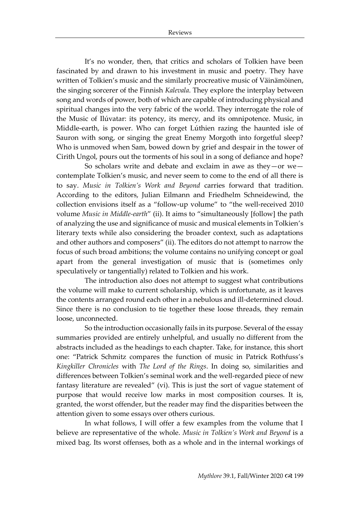It's no wonder, then, that critics and scholars of Tolkien have been fascinated by and drawn to his investment in music and poetry. They have written of Tolkien's music and the similarly procreative music of Väinämöinen, the singing sorcerer of the Finnish *Kalevala*. They explore the interplay between song and words of power, both of which are capable of introducing physical and spiritual changes into the very fabric of the world. They interrogate the role of the Music of Ilúvatar: its potency, its mercy, and its omnipotence. Music, in Middle-earth, is power. Who can forget Lúthien razing the haunted isle of Sauron with song, or singing the great Enemy Morgoth into forgetful sleep? Who is unmoved when Sam, bowed down by grief and despair in the tower of Cirith Ungol, pours out the torments of his soul in a song of defiance and hope?

So scholars write and debate and exclaim in awe as they—or we contemplate Tolkien's music, and never seem to come to the end of all there is to say. *Music in Tolkien's Work and Beyond* carries forward that tradition. According to the editors, Julian Eilmann and Friedhelm Schneidewind, the collection envisions itself as a "follow-up volume" to "the well-received 2010 volume *Music in Middle-earth*" (ii). It aims to "simultaneously [follow] the path of analyzing the use and significance of music and musical elements in Tolkien's literary texts while also considering the broader context, such as adaptations and other authors and composers" (ii). The editors do not attempt to narrow the focus of such broad ambitions; the volume contains no unifying concept or goal apart from the general investigation of music that is (sometimes only speculatively or tangentially) related to Tolkien and his work.

The introduction also does not attempt to suggest what contributions the volume will make to current scholarship, which is unfortunate, as it leaves the contents arranged round each other in a nebulous and ill-determined cloud. Since there is no conclusion to tie together these loose threads, they remain loose, unconnected.

So the introduction occasionally fails in its purpose. Several of the essay summaries provided are entirely unhelpful, and usually no different from the abstracts included as the headings to each chapter. Take, for instance, this short one: "Patrick Schmitz compares the function of music in Patrick Rothfuss's *Kingkiller Chronicles* with *The Lord of the Rings*. In doing so, similarities and differences between Tolkien's seminal work and the well-regarded piece of new fantasy literature are revealed" (vi). This is just the sort of vague statement of purpose that would receive low marks in most composition courses. It is, granted, the worst offender, but the reader may find the disparities between the attention given to some essays over others curious.

In what follows, I will offer a few examples from the volume that I believe are representative of the whole. *Music in Tolkien's Work and Beyond* is a mixed bag. Its worst offenses, both as a whole and in the internal workings of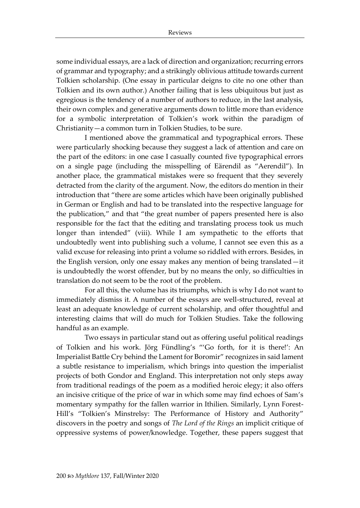some individual essays, are a lack of direction and organization; recurring errors of grammar and typography; and a strikingly oblivious attitude towards current Tolkien scholarship. (One essay in particular deigns to cite no one other than Tolkien and its own author.) Another failing that is less ubiquitous but just as egregious is the tendency of a number of authors to reduce, in the last analysis, their own complex and generative arguments down to little more than evidence for a symbolic interpretation of Tolkien's work within the paradigm of Christianity—a common turn in Tolkien Studies, to be sure.

I mentioned above the grammatical and typographical errors. These were particularly shocking because they suggest a lack of attention and care on the part of the editors: in one case I casually counted five typographical errors on a single page (including the misspelling of Eärendil as "Aerendil"). In another place, the grammatical mistakes were so frequent that they severely detracted from the clarity of the argument. Now, the editors do mention in their introduction that "there are some articles which have been originally published in German or English and had to be translated into the respective language for the publication," and that "the great number of papers presented here is also responsible for the fact that the editing and translating process took us much longer than intended" (viii). While I am sympathetic to the efforts that undoubtedly went into publishing such a volume, I cannot see even this as a valid excuse for releasing into print a volume so riddled with errors. Besides, in the English version, only one essay makes any mention of being translated—it is undoubtedly the worst offender, but by no means the only, so difficulties in translation do not seem to be the root of the problem.

For all this, the volume has its triumphs, which is why I do not want to immediately dismiss it. A number of the essays are well-structured, reveal at least an adequate knowledge of current scholarship, and offer thoughtful and interesting claims that will do much for Tolkien Studies. Take the following handful as an example.

Two essays in particular stand out as offering useful political readings of Tolkien and his work. Jörg Fündling's "'Go forth, for it is there!': An Imperialist Battle Cry behind the Lament for Boromir" recognizes in said lament a subtle resistance to imperialism, which brings into question the imperialist projects of both Gondor and England. This interpretation not only steps away from traditional readings of the poem as a modified heroic elegy; it also offers an incisive critique of the price of war in which some may find echoes of Sam's momentary sympathy for the fallen warrior in Ithilien. Similarly, Lynn Forest-Hill's "Tolkien's Minstrelsy: The Performance of History and Authority" discovers in the poetry and songs of *The Lord of the Rings* an implicit critique of oppressive systems of power/knowledge. Together, these papers suggest that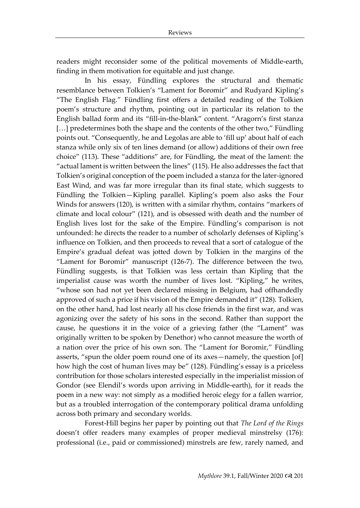readers might reconsider some of the political movements of Middle-earth, finding in them motivation for equitable and just change.

In his essay, Fündling explores the structural and thematic resemblance between Tolkien's "Lament for Boromir" and Rudyard Kipling's "The English Flag." Fündling first offers a detailed reading of the Tolkien poem's structure and rhythm, pointing out in particular its relation to the English ballad form and its "fill-in-the-blank" content. "Aragorn's first stanza [...] predetermines both the shape and the contents of the other two," Fündling points out. "Consequently, he and Legolas are able to 'fill up' about half of each stanza while only six of ten lines demand (or allow) additions of their own free choice" (113). These "additions" are, for Fündling, the meat of the lament: the "actual lament is written between the lines" (115). He also addresses the fact that Tolkien's original conception of the poem included a stanza for the later-ignored East Wind, and was far more irregular than its final state, which suggests to Fündling the Tolkien—Kipling parallel. Kipling's poem also asks the Four Winds for answers (120), is written with a similar rhythm, contains "markers of climate and local colour" (121), and is obsessed with death and the number of English lives lost for the sake of the Empire. Fündling's comparison is not unfounded: he directs the reader to a number of scholarly defenses of Kipling's influence on Tolkien, and then proceeds to reveal that a sort of catalogue of the Empire's gradual defeat was jotted down by Tolkien in the margins of the "Lament for Boromir" manuscript (126-7). The difference between the two, Fündling suggests, is that Tolkien was less certain than Kipling that the imperialist cause was worth the number of lives lost. "Kipling," he writes, "whose son had not yet been declared missing in Belgium, had offhandedly approved of such a price if his vision of the Empire demanded it" (128). Tolkien, on the other hand, had lost nearly all his close friends in the first war, and was agonizing over the safety of his sons in the second. Rather than support the cause, he questions it in the voice of a grieving father (the "Lament" was originally written to be spoken by Denethor) who cannot measure the worth of a nation over the price of his own son. The "Lament for Boromir," Fündling asserts, "spun the older poem round one of its axes—namely, the question [of] how high the cost of human lives may be" (128). Fündling's essay is a priceless contribution for those scholars interested especially in the imperialist mission of Gondor (see Elendil's words upon arriving in Middle-earth), for it reads the poem in a new way: not simply as a modified heroic elegy for a fallen warrior, but as a troubled interrogation of the contemporary political drama unfolding across both primary and secondary worlds.

Forest-Hill begins her paper by pointing out that *The Lord of the Rings* doesn't offer readers many examples of proper medieval minstrelsy (176): professional (i.e., paid or commissioned) minstrels are few, rarely named, and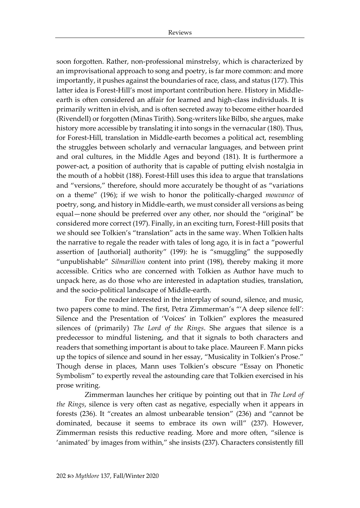soon forgotten. Rather, non-professional minstrelsy, which is characterized by an improvisational approach to song and poetry, is far more common: and more importantly, it pushes against the boundaries of race, class, and status (177). This latter idea is Forest-Hill's most important contribution here. History in Middleearth is often considered an affair for learned and high-class individuals. It is primarily written in elvish, and is often secreted away to become either hoarded (Rivendell) or forgotten (Minas Tirith). Song-writers like Bilbo, she argues, make history more accessible by translating it into songs in the vernacular (180). Thus, for Forest-Hill, translation in Middle-earth becomes a political act, resembling the struggles between scholarly and vernacular languages, and between print and oral cultures, in the Middle Ages and beyond (181). It is furthermore a power-act, a position of authority that is capable of putting elvish nostalgia in the mouth of a hobbit (188). Forest-Hill uses this idea to argue that translations and "versions," therefore, should more accurately be thought of as "variations on a theme" (196); if we wish to honor the politically-charged *mouvance* of poetry, song, and history in Middle-earth, we must consider all versions as being equal—none should be preferred over any other, nor should the "original" be considered more correct (197). Finally, in an exciting turn, Forest-Hill posits that we should see Tolkien's "translation" acts in the same way. When Tolkien halts the narrative to regale the reader with tales of long ago, it is in fact a "powerful assertion of [authorial] authority" (199): he is "smuggling" the supposedly "unpublishable" *Silmarillion* content into print (198), thereby making it more accessible. Critics who are concerned with Tolkien as Author have much to unpack here, as do those who are interested in adaptation studies, translation, and the socio-political landscape of Middle-earth.

For the reader interested in the interplay of sound, silence, and music, two papers come to mind. The first, Petra Zimmerman's "'A deep silence fell': Silence and the Presentation of 'Voices' in Tolkien" explores the measured silences of (primarily) *The Lord of the Rings*. She argues that silence is a predecessor to mindful listening, and that it signals to both characters and readers that something important is about to take place. Maureen F. Mann picks up the topics of silence and sound in her essay, "Musicality in Tolkien's Prose." Though dense in places, Mann uses Tolkien's obscure "Essay on Phonetic Symbolism" to expertly reveal the astounding care that Tolkien exercised in his prose writing.

Zimmerman launches her critique by pointing out that in *The Lord of the Rings*, silence is very often cast as negative, especially when it appears in forests (236). It "creates an almost unbearable tension" (236) and "cannot be dominated, because it seems to embrace its own will" (237). However, Zimmerman resists this reductive reading. More and more often, "silence is 'animated' by images from within," she insists (237). Characters consistently fill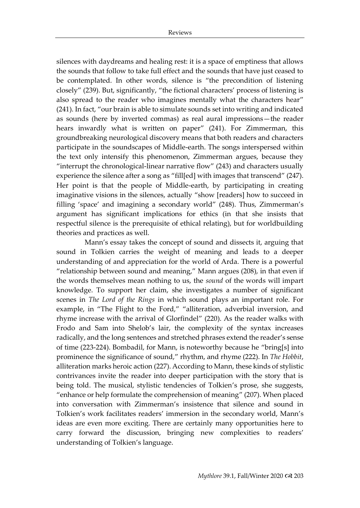silences with daydreams and healing rest: it is a space of emptiness that allows the sounds that follow to take full effect and the sounds that have just ceased to be contemplated. In other words, silence is "the precondition of listening closely" (239). But, significantly, "the fictional characters' process of listening is also spread to the reader who imagines mentally what the characters hear" (241). In fact, "our brain is able to simulate sounds set into writing and indicated as sounds (here by inverted commas) as real aural impressions—the reader hears inwardly what is written on paper" (241). For Zimmerman, this groundbreaking neurological discovery means that both readers and characters participate in the soundscapes of Middle-earth. The songs interspersed within the text only intensify this phenomenon, Zimmerman argues, because they "interrupt the chronological-linear narrative flow" (243) and characters usually experience the silence after a song as "fill[ed] with images that transcend" (247). Her point is that the people of Middle-earth, by participating in creating imaginative visions in the silences, actually "show [readers] how to succeed in filling 'space' and imagining a secondary world" (248). Thus, Zimmerman's argument has significant implications for ethics (in that she insists that respectful silence is the prerequisite of ethical relating), but for worldbuilding theories and practices as well.

Mann's essay takes the concept of sound and dissects it, arguing that sound in Tolkien carries the weight of meaning and leads to a deeper understanding of and appreciation for the world of Arda. There is a powerful "relationship between sound and meaning," Mann argues (208), in that even if the words themselves mean nothing to us, the *sound* of the words will impart knowledge. To support her claim, she investigates a number of significant scenes in *The Lord of the Rings* in which sound plays an important role. For example, in "The Flight to the Ford," "alliteration, adverbial inversion, and rhyme increase with the arrival of Glorfindel" (220). As the reader walks with Frodo and Sam into Shelob's lair, the complexity of the syntax increases radically, and the long sentences and stretched phrases extend the reader's sense of time (223-224). Bombadil, for Mann, is noteworthy because he "bring[s] into prominence the significance of sound," rhythm, and rhyme (222). In *The Hobbit*, alliteration marks heroic action (227). According to Mann, these kinds of stylistic contrivances invite the reader into deeper participation with the story that is being told. The musical, stylistic tendencies of Tolkien's prose, she suggests, "enhance or help formulate the comprehension of meaning" (207). When placed into conversation with Zimmerman's insistence that silence and sound in Tolkien's work facilitates readers' immersion in the secondary world, Mann's ideas are even more exciting. There are certainly many opportunities here to carry forward the discussion, bringing new complexities to readers' understanding of Tolkien's language.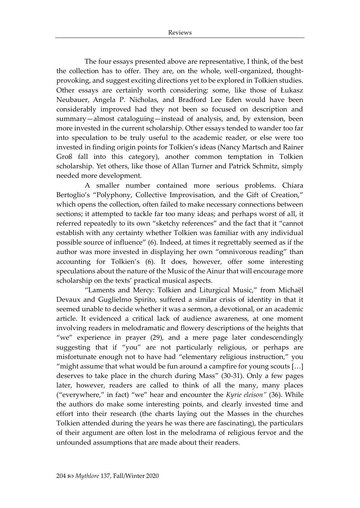The four essays presented above are representative, I think, of the best the collection has to offer. They are, on the whole, well-organized, thoughtprovoking, and suggest exciting directions yet to be explored in Tolkien studies. Other essays are certainly worth considering: some, like those of Łukasz Neubauer, Angela P. Nicholas, and Bradford Lee Eden would have been considerably improved had they not been so focused on description and summary—almost cataloguing—instead of analysis, and, by extension, been more invested in the current scholarship. Other essays tended to wander too far into speculation to be truly useful to the academic reader, or else were too invested in finding origin points for Tolkien's ideas (Nancy Martsch and Rainer Groß fall into this category), another common temptation in Tolkien scholarship. Yet others, like those of Allan Turner and Patrick Schmitz, simply needed more development.

A smaller number contained more serious problems. Chiara Bertoglio's "Polyphony, Collective Improvisation, and the Gift of Creation," which opens the collection, often failed to make necessary connections between sections; it attempted to tackle far too many ideas; and perhaps worst of all, it referred repeatedly to its own "sketchy references" and the fact that it "cannot establish with any certainty whether Tolkien was familiar with any individual possible source of influence" (6). Indeed, at times it regrettably seemed as if the author was more invested in displaying her own "omnivorous reading" than accounting for Tolkien's (6). It does, however, offer some interesting speculations about the nature of the Music of the Ainur that will encourage more scholarship on the texts' practical musical aspects.

"Laments and Mercy: Tolkien and Liturgical Music," from Michaël Devaux and Guglielmo Spirito, suffered a similar crisis of identity in that it seemed unable to decide whether it was a sermon, a devotional, or an academic article. It evidenced a critical lack of audience awareness, at one moment involving readers in melodramatic and flowery descriptions of the heights that "we" experience in prayer (29), and a mere page later condescendingly suggesting that if "you" are not particularly religious, or perhaps are misfortunate enough not to have had "elementary religious instruction," you "might assume that what would be fun around a campfire for young scouts […] deserves to take place in the church during Mass" (30-31). Only a few pages later, however, readers are called to think of all the many, many places ("everywhere," in fact) "we" hear and encounter the *Kyrie eleison"* (36). While the authors do make some interesting points, and clearly invested time and effort into their research (the charts laying out the Masses in the churches Tolkien attended during the years he was there are fascinating), the particulars of their argument are often lost in the melodrama of religious fervor and the unfounded assumptions that are made about their readers.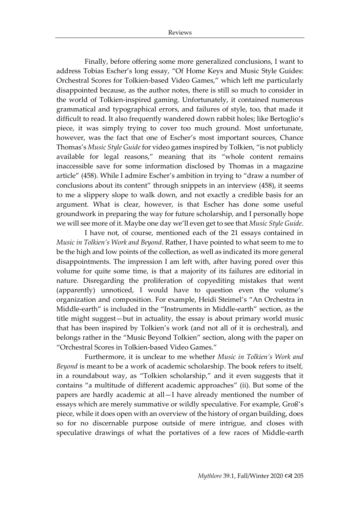Finally, before offering some more generalized conclusions, I want to address Tobias Escher's long essay, "Of Home Keys and Music Style Guides: Orchestral Scores for Tolkien-based Video Games," which left me particularly disappointed because, as the author notes, there is still so much to consider in the world of Tolkien-inspired gaming. Unfortunately, it contained numerous grammatical and typographical errors, and failures of style, too, that made it difficult to read. It also frequently wandered down rabbit holes; like Bertoglio's piece, it was simply trying to cover too much ground. Most unfortunate, however, was the fact that one of Escher's most important sources, Chance Thomas's *Music Style Guide* for video games inspired by Tolkien, "is not publicly available for legal reasons," meaning that its "whole content remains inaccessible save for some information disclosed by Thomas in a magazine article" (458). While I admire Escher's ambition in trying to "draw a number of conclusions about its content" through snippets in an interview (458), it seems to me a slippery slope to walk down, and not exactly a credible basis for an argument. What is clear, however, is that Escher has done some useful groundwork in preparing the way for future scholarship, and I personally hope we will see more of it. Maybe one day we'll even get to see that *Music Style Guide*.

I have not, of course, mentioned each of the 21 essays contained in *Music in Tolkien's Work and Beyond*. Rather, I have pointed to what seem to me to be the high and low points of the collection, as well as indicated its more general disappointments. The impression I am left with, after having pored over this volume for quite some time, is that a majority of its failures are editorial in nature. Disregarding the proliferation of copyediting mistakes that went (apparently) unnoticed, I would have to question even the volume's organization and composition. For example, Heidi Steimel's "An Orchestra in Middle-earth" is included in the "Instruments in Middle-earth" section, as the title might suggest—but in actuality, the essay is about primary world music that has been inspired by Tolkien's work (and not all of it is orchestral), and belongs rather in the "Music Beyond Tolkien" section, along with the paper on "Orchestral Scores in Tolkien-based Video Games."

Furthermore, it is unclear to me whether *Music in Tolkien's Work and Beyond* is meant to be a work of academic scholarship. The book refers to itself, in a roundabout way, as "Tolkien scholarship," and it even suggests that it contains "a multitude of different academic approaches" (ii). But some of the papers are hardly academic at all—I have already mentioned the number of essays which are merely summative or wildly speculative. For example, Groß's piece, while it does open with an overview of the history of organ building, does so for no discernable purpose outside of mere intrigue, and closes with speculative drawings of what the portatives of a few races of Middle-earth